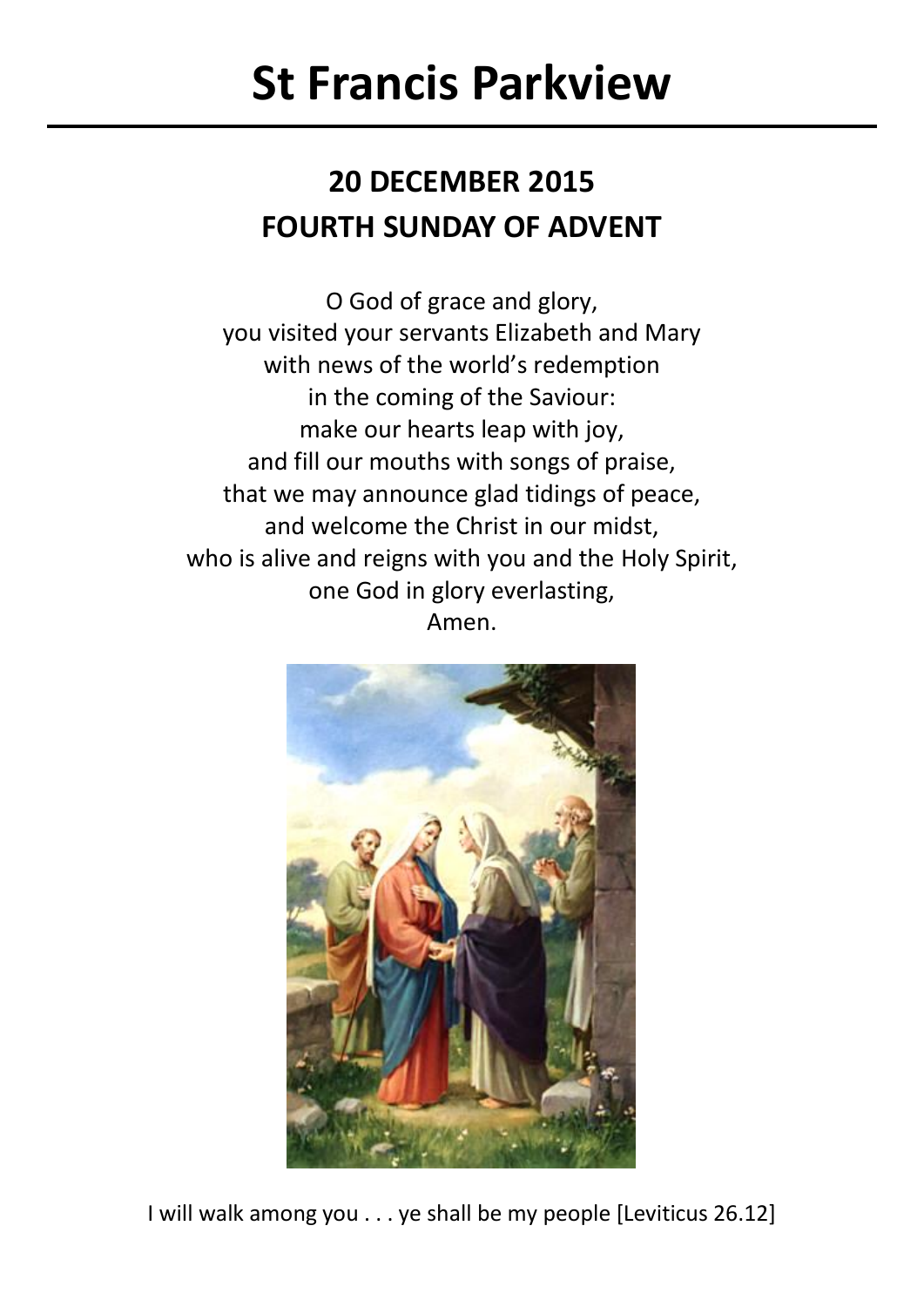# **St Francis Parkview**

# **20 DECEMBER 2015 FOURTH SUNDAY OF ADVENT**

O God of grace and glory, you visited your servants Elizabeth and Mary with news of the world's redemption in the coming of the Saviour: make our hearts leap with joy, and fill our mouths with songs of praise, that we may announce glad tidings of peace, and welcome the Christ in our midst, who is alive and reigns with you and the Holy Spirit, one God in glory everlasting, Amen.



I will walk among you . . . ye shall be my people [Leviticus 26.12]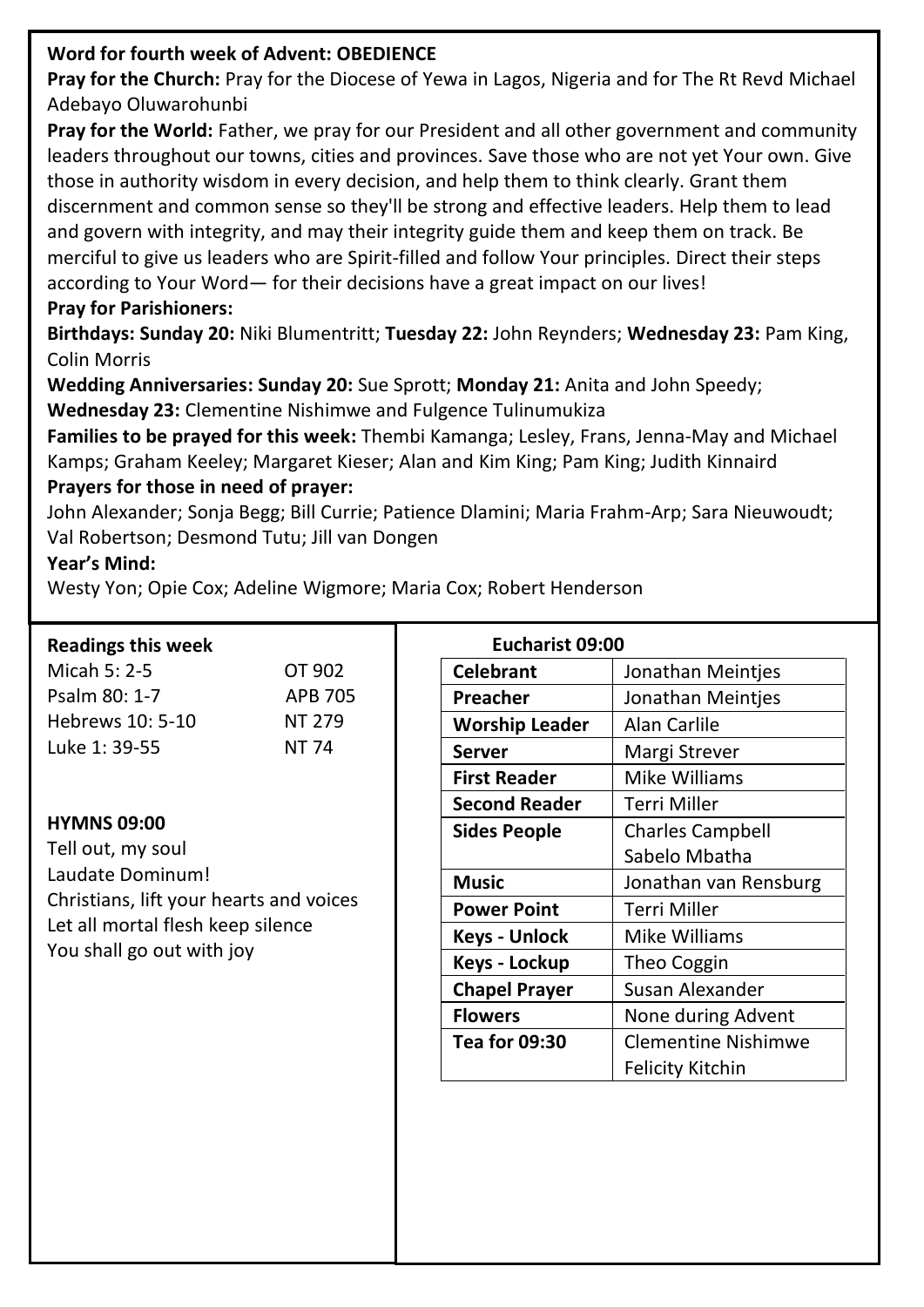# **Word for fourth week of Advent: OBEDIENCE**

**Pray for the Church:** Pray for the Diocese of Yewa in Lagos, Nigeria and for The Rt Revd Michael Adebayo Oluwarohunbi

**Pray for the World:** Father, we pray for our President and all other government and community leaders throughout our towns, cities and provinces. Save those who are not yet Your own. Give those in authority wisdom in every decision, and help them to think clearly. Grant them discernment and common sense so they'll be strong and effective leaders. Help them to lead and govern with integrity, and may their integrity guide them and keep them on track. Be merciful to give us leaders who are Spirit-filled and follow Your principles. Direct their steps according to Your Word— for their decisions have a great impact on our lives! **Pray for Parishioners:**

**Birthdays: Sunday 20:** Niki Blumentritt; **Tuesday 22:** John Reynders; **Wednesday 23:** Pam King, Colin Morris

**Wedding Anniversaries: Sunday 20:** Sue Sprott; **Monday 21:** Anita and John Speedy; **Wednesday 23:** Clementine Nishimwe and Fulgence Tulinumukiza

**Families to be prayed for this week:** Thembi Kamanga; Lesley, Frans, Jenna-May and Michael Kamps; Graham Keeley; Margaret Kieser; Alan and Kim King; Pam King; Judith Kinnaird

### **Prayers for those in need of prayer:**

John Alexander; Sonja Begg; Bill Currie; Patience Dlamini; Maria Frahm-Arp; Sara Nieuwoudt; Val Robertson; Desmond Tutu; Jill van Dongen

## **Year's Mind:**

Westy Yon; Opie Cox; Adeline Wigmore; Maria Cox; Robert Henderson

#### **Readings this week**

| Micah 5: 2-5     | OT 902  |
|------------------|---------|
| Psalm 80: 1-7    | APB 705 |
| Hebrews 10: 5-10 | NT 279  |
| Luke 1: 39-55    | NT 74   |

#### **HYMNS 09:00**

Tell out, my soul Laudate Dominum! Christians, lift your hearts and voices Let all mortal flesh keep silence You shall go out with joy

| Eucharist 09:00       |                            |  |
|-----------------------|----------------------------|--|
| <b>Celebrant</b>      | Jonathan Meinties          |  |
| Preacher              | Jonathan Meintjes          |  |
| <b>Worship Leader</b> | Alan Carlile               |  |
| Server                | Margi Strever              |  |
| First Reader          | Mike Williams              |  |
| <b>Second Reader</b>  | Terri Miller               |  |
| Sides People          | <b>Charles Campbell</b>    |  |
|                       | Sabelo Mbatha              |  |
| Music                 | Jonathan van Rensburg      |  |
| <b>Power Point</b>    | Terri Miller               |  |
| Keys - Unlock         | Mike Williams              |  |
| Keys - Lockup         | Theo Coggin                |  |
| <b>Chapel Prayer</b>  | Susan Alexander            |  |
| <b>Flowers</b>        | None during Advent         |  |
| <b>Tea for 09:30</b>  | <b>Clementine Nishimwe</b> |  |
|                       | Felicity Kitchin           |  |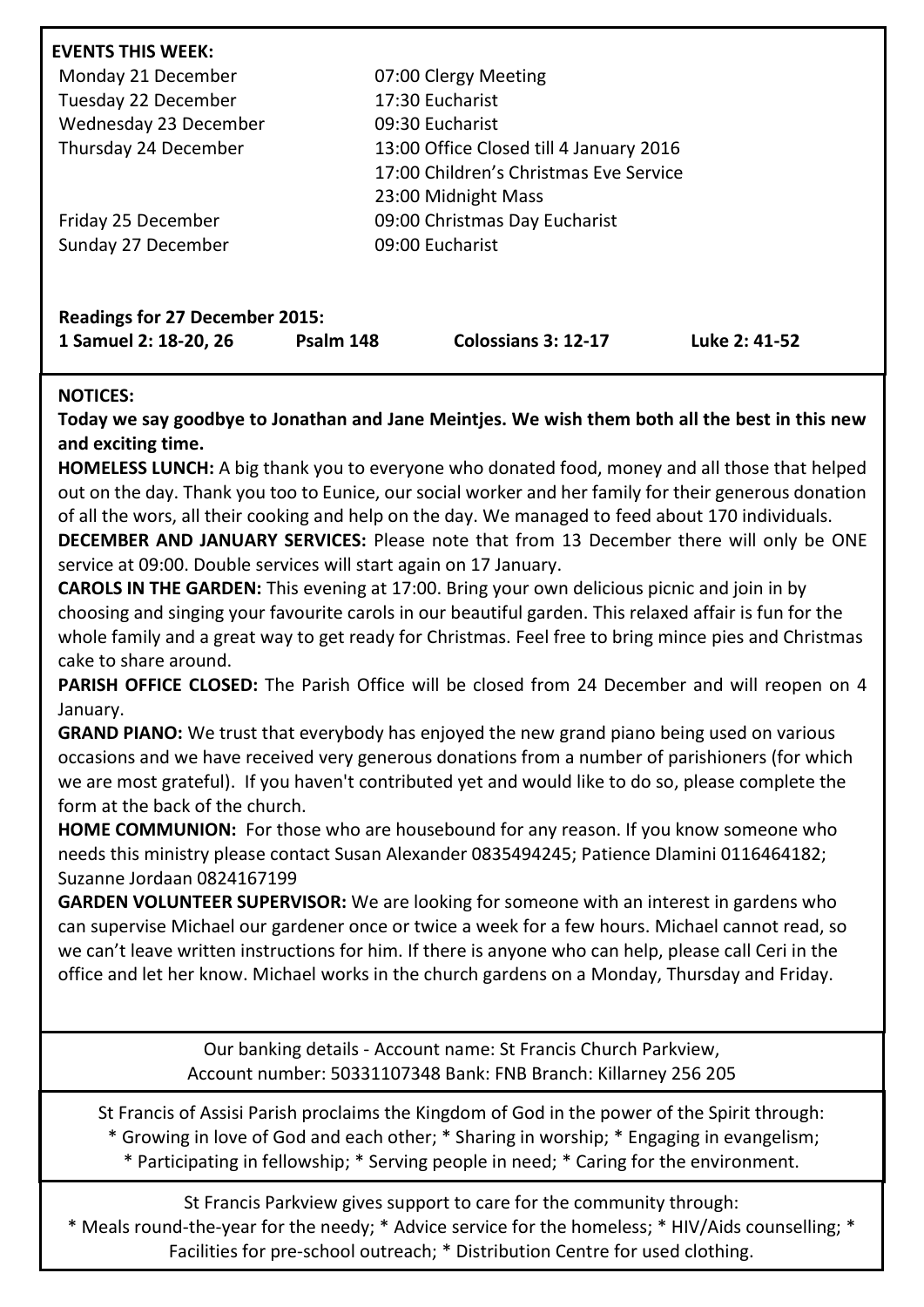| Monday 21 December<br>Tuesday 22 December | 07:00 Clergy Meeting<br>17:30 Eucharist |  |
|-------------------------------------------|-----------------------------------------|--|
| Wednesday 23 December                     | 09:30 Eucharist                         |  |
| Thursday 24 December                      | 13:00 Office Closed till 4 January 2016 |  |
|                                           | 17:00 Children's Christmas Eve Service  |  |
|                                           | 23:00 Midnight Mass                     |  |
| Friday 25 December                        | 09:00 Christmas Day Eucharist           |  |
| Sunday 27 December                        | 09:00 Eucharist                         |  |

#### **NOTICES:**

**Today we say goodbye to Jonathan and Jane Meintjes. We wish them both all the best in this new and exciting time.**

**HOMELESS LUNCH:** A big thank you to everyone who donated food, money and all those that helped out on the day. Thank you too to Eunice, our social worker and her family for their generous donation of all the wors, all their cooking and help on the day. We managed to feed about 170 individuals.

**DECEMBER AND JANUARY SERVICES:** Please note that from 13 December there will only be ONE service at 09:00. Double services will start again on 17 January.

**CAROLS IN THE GARDEN:** This evening at 17:00. Bring your own delicious picnic and join in by choosing and singing your favourite carols in our beautiful garden. This relaxed affair is fun for the whole family and a great way to get ready for Christmas. Feel free to bring mince pies and Christmas cake to share around.

**PARISH OFFICE CLOSED:** The Parish Office will be closed from 24 December and will reopen on 4 January.

**GRAND PIANO:** We trust that everybody has enjoyed the new grand piano being used on various occasions and we have received very generous donations from a number of parishioners (for which we are most grateful). If you haven't contributed yet and would like to do so, please complete the form at the back of the church.

**HOME COMMUNION:** For those who are housebound for any reason. If you know someone who needs this ministry please contact Susan Alexander 0835494245; Patience Dlamini 0116464182; Suzanne Jordaan 0824167199

**GARDEN VOLUNTEER SUPERVISOR:** We are looking for someone with an interest in gardens who can supervise Michael our gardener once or twice a week for a few hours. Michael cannot read, so we can't leave written instructions for him. If there is anyone who can help, please call Ceri in the office and let her know. Michael works in the church gardens on a Monday, Thursday and Friday.

> Our banking details - Account name: St Francis Church Parkview, Account number: 50331107348 Bank: FNB Branch: Killarney 256 205

St Francis of Assisi Parish proclaims the Kingdom of God in the power of the Spirit through: \* Growing in love of God and each other; \* Sharing in worship; \* Engaging in evangelism;

\* Participating in fellowship; \* Serving people in need; \* Caring for the environment.

St Francis Parkview gives support to care for the community through: \* Meals round-the-year for the needy; \* Advice service for the homeless; \* HIV/Aids counselling; \* Facilities for pre-school outreach; \* Distribution Centre for used clothing.